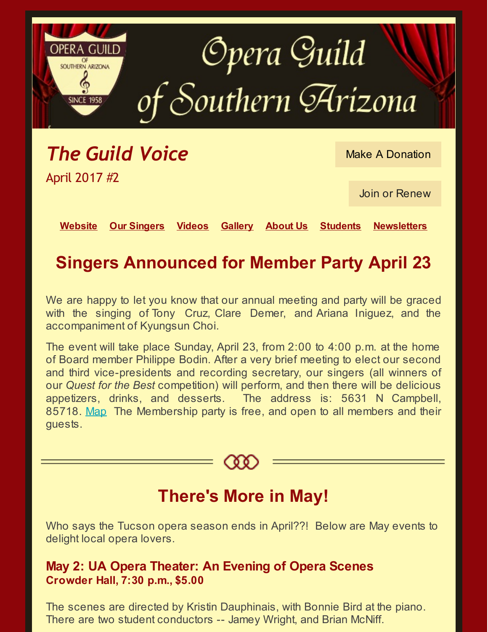

*The Guild Voice* April 2017 #2

Make A [Donation](http://azogsa.org/)

Join or [Renew](http://azogsa.org/membership-form/)

**[Website](http://azogsa.org/) Our [Singers](http://azogsa.org/opera/listen-to-our-singers/) [Videos](http://azogsa.org/opera/watch-opera-videos/) [Gallery](http://azogsa.org/opera/photos/) [About](http://azogsa.org/about/) Us [Students](http://azogsa.org/grants-and-scholarships/) [Newsletters](http://azogsa.org/past-newsletters/)**

# **Singers Announced for Member Party April 23**

We are happy to let you know that our annual meeting and party will be graced with the singing of Tony Cruz, Clare Demer, and Ariana Iniguez, and the accompaniment of Kyungsun Choi.

The event will take place Sunday, April 23, from 2:00 to 4:00 p.m. at the home of Board member Philippe Bodin. After a very brief meeting to elect our second and third vice-presidents and recording secretary, our singers (all winners of our *Quest for the Best* competition) will perform, and then there will be delicious appetizers, drinks, and desserts. The address is: 5631 N Campbell, 85718. [Map](https://www.google.com/maps/dir//5631+N+Campbell+Ave,+Tucson,+AZ+85718/@32.308614,-110.9398067,17z/data=!4m16!1m7!3m6!1s0x86d6725a6b5fc295:0xfa01271bff2f21cc!2s5631+N+Campbell+Ave,+Tucson,+AZ+85718!3b1!8m2!3d32.308614!4d-110.937618!4m7!1m0!1m5!1m1!1s0x86d6725a6b5fc295:0xfa01271bff2f21cc!2m2!1d-110.937618!2d32.308614) The Membership party is free, and open to all members and their guests.



# **There's More in May!**

Who says the Tucson opera season ends in April??! Below are May events to delight local opera lovers.

### **May 2: UA Opera Theater: An Evening of Opera Scenes Crowder Hall, 7:30 p.m., \$5.00**

The scenes are directed by Kristin Dauphinais, with Bonnie Bird at the piano. There are two student conductors -- Jamey Wright, and Brian McNiff.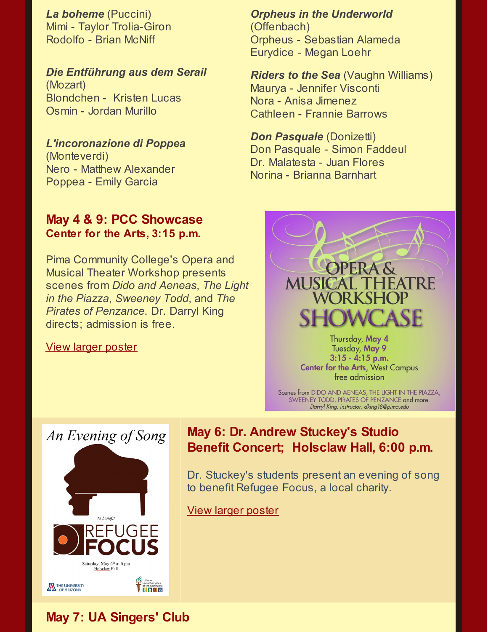*La boheme* (Puccini) Mimi - Taylor Trolia-Giron Rodolfo - Brian McNiff

#### *Die Entführung aus dem Serail*

(Mozart) Blondchen - Kristen Lucas Osmin - Jordan Murillo

#### *L'incoronazione di Poppea*

(Monteverdi) Nero - Matthew Alexander Poppea - Emily Garcia

### **May 4 & 9: PCC Showcase Center for the Arts, 3:15 p.m.**

Pima Community College's Opera and Musical Theater Workshop presents scenes from *Dido and Aeneas*, *The Light in the Piazza*, *Sweeney Todd*, and *The Pirates of Penzance*. Dr. Darryl King directs; admission is free.

#### View larger [poster](http://azogsa.org/wp-content/uploads/2017/04/showcaseflyer.pdf)

*Orpheus in the Underworld*

(Offenbach) Orpheus - Sebastian Alameda Eurydice - Megan Loehr

*Riders to the Sea* (Vaughn Williams) Maurya - Jennifer Visconti Nora - Anisa Jimenez Cathleen - Frannie Barrows

*Don Pasquale* (Donizetti) Don Pasquale - Simon Faddeul Dr. Malatesta - Juan Flores Norina - Brianna Barnhart



Thursday, May 4 Tuesday, May 9  $3:15 - 4:15$  p.m. **Center for the Arts, West Campus** free admission

Scenes from DIDO AND AENEAS, THE LIGHT IN THE PIAZZA, SWEENEY TODD, PIRATES OF PENZANCE and more. Darryl King, instructor: dking 18@pima.edu



### **May 6: Dr. Andrew Stuckey's Studio Benefit Concert; Holsclaw Hall, 6:00 p.m.**

Dr. Stuckey's students present an evening of song to benefit Refugee Focus, a local charity.

View larger [poster](http://azogsa.org/wp-content/uploads/2017/04/recital-poster.pdf)

### **May 7: UA Singers' Club**